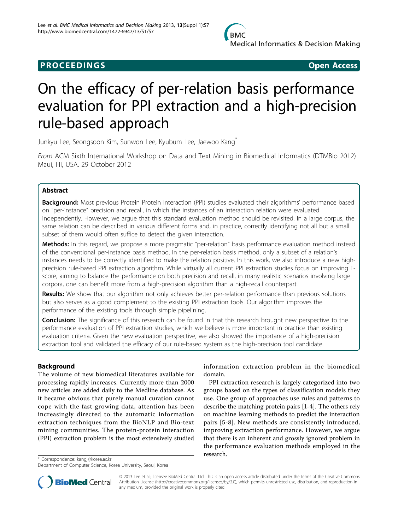

# **PROCEEDINGS CONSIDERING SECOND CONSIDERING SECOND CONSIDERING SECOND SECOND SECOND SECOND SECOND SECOND SECOND SECOND SECOND SECOND SECOND SECOND SECOND SECOND SECOND SECOND SECOND SECOND SECOND SECOND SECOND SECOND SEC**

# On the efficacy of per-relation basis performance evaluation for PPI extraction and a high-precision rule-based approach

Junkyu Lee, Seongsoon Kim, Sunwon Lee, Kyubum Lee, Jaewoo Kang\*

From ACM Sixth International Workshop on Data and Text Mining in Biomedical Informatics (DTMBio 2012) Maui, HI, USA. 29 October 2012

# Abstract

Background: Most previous Protein Protein Interaction (PPI) studies evaluated their algorithms' performance based on "per-instance" precision and recall, in which the instances of an interaction relation were evaluated independently. However, we argue that this standard evaluation method should be revisited. In a large corpus, the same relation can be described in various different forms and, in practice, correctly identifying not all but a small subset of them would often suffice to detect the given interaction.

Methods: In this regard, we propose a more pragmatic "per-relation" basis performance evaluation method instead of the conventional per-instance basis method. In the per-relation basis method, only a subset of a relation's instances needs to be correctly identified to make the relation positive. In this work, we also introduce a new highprecision rule-based PPI extraction algorithm. While virtually all current PPI extraction studies focus on improving Fscore, aiming to balance the performance on both precision and recall, in many realistic scenarios involving large corpora, one can benefit more from a high-precision algorithm than a high-recall counterpart.

Results: We show that our algorithm not only achieves better per-relation performance than previous solutions but also serves as a good complement to the existing PPI extraction tools. Our algorithm improves the performance of the existing tools through simple pipelining.

**Conclusion:** The significance of this research can be found in that this research brought new perspective to the performance evaluation of PPI extraction studies, which we believe is more important in practice than existing evaluation criteria. Given the new evaluation perspective, we also showed the importance of a high-precision extraction tool and validated the efficacy of our rule-based system as the high-precision tool candidate.

# Background

The volume of new biomedical literatures available for processing rapidly increases. Currently more than 2000 new articles are added daily to the Medline database. As it became obvious that purely manual curation cannot cope with the fast growing data, attention has been increasingly directed to the automatic information extraction techniques from the BioNLP and Bio-text mining communities. The protein-protein interaction (PPI) extraction problem is the most extensively studied

information extraction problem in the biomedical domain.

PPI extraction research is largely categorized into two groups based on the types of classification models they use. One group of approaches use rules and patterns to describe the matching protein pairs [\[1-4](#page-10-0)]. The others rely on machine learning methods to predict the interaction pairs [\[5-8\]](#page-10-0). New methods are consistently introduced, improving extraction performance. However, we argue that there is an inherent and grossly ignored problem in the performance evaluation methods employed in the research.

\* Correspondence: [kangj@korea.ac.kr](mailto:kangj@korea.ac.kr)

Department of Computer Science, Korea University, Seoul, Korea



© 2013 Lee et al.; licensee BioMed Central Ltd. This is an open access article distributed under the terms of the Creative Commons Attribution License [\(http://creativecommons.org/licenses/by/2.0](http://creativecommons.org/licenses/by/2.0)), which permits unrestricted use, distribution, and reproduction in any medium, provided the original work is properly cited.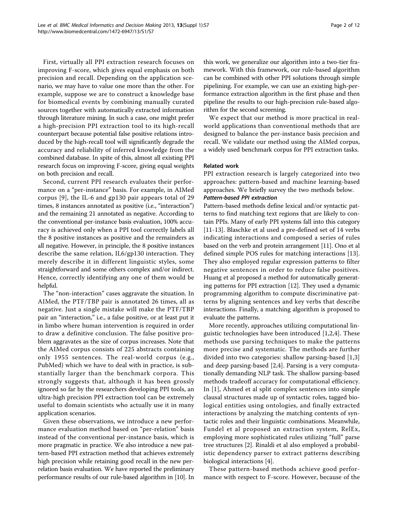First, virtually all PPI extraction research focuses on improving F-score, which gives equal emphasis on both precision and recall. Depending on the application scenario, we may have to value one more than the other. For example, suppose we are to construct a knowledge base for biomedical events by combining manually curated sources together with automatically extracted information through literature mining. In such a case, one might prefer a high-precision PPI extraction tool to its high-recall counterpart because potential false positive relations introduced by the high-recall tool will significantly degrade the accuracy and reliability of inferred knowledge from the combined database. In spite of this, almost all existing PPI research focus on improving F-score, giving equal weights on both precision and recall.

Second, current PPI research evaluates their performance on a "per-instance" basis. For example, in AIMed corpus [[9](#page-10-0)], the IL-6 and gp130 pair appears total of 29 times, 8 instances annotated as positive (i.e., "interaction") and the remaining 21 annotated as negative. According to the conventional per-instance basis evaluation, 100% accuracy is achieved only when a PPI tool correctly labels all the 8 positive instances as positive and the remainders as all negative. However, in principle, the 8 positive instances describe the same relation, IL6/gp130 interaction. They merely describe it in different linguistic styles, some straightforward and some others complex and/or indirect. Hence, correctly identifying any one of them would be helpful.

The "non-interaction" cases aggravate the situation. In AIMed, the PTF/TBP pair is annotated 26 times, all as negative. Just a single mistake will make the PTF/TBP pair an "interaction," i.e., a false positive, or at least put it in limbo where human intervention is required in order to draw a definitive conclusion. The false positive problem aggravates as the size of corpus increases. Note that the AIMed corpus consists of 225 abstracts containing only 1955 sentences. The real-world corpus (e.g., PubMed) which we have to deal with in practice, is substantially larger than the benchmark corpora. This strongly suggests that, although it has been grossly ignored so far by the researchers developing PPI tools, an ultra-high precision PPI extraction tool can be extremely useful to domain scientists who actually use it in many application scenarios.

Given these observations, we introduce a new performance evaluation method based on "per-relation" basis instead of the conventional per-instance basis, which is more pragmatic in practice. We also introduce a new pattern-based PPI extraction method that achieves extremely high precision while retaining good recall in the new perrelation basis evaluation. We have reported the preliminary performance results of our rule-based algorithm in [[10](#page-10-0)]. In this work, we generalize our algorithm into a two-tier framework. With this framework, our rule-based algorithm can be combined with other PPI solutions through simple pipelining. For example, we can use an existing high-performance extraction algorithm in the first phase and then pipeline the results to our high-precision rule-based algorithm for the second screening.

We expect that our method is more practical in realworld applications than conventional methods that are designed to balance the per-instance basis precision and recall. We validate our method using the AIMed corpus, a widely used benchmark corpus for PPI extraction tasks.

#### Related work

PPI extraction research is largely categorized into two approaches: pattern-based and machine learning-based approaches. We briefly survey the two methods below. Pattern-based PPI extraction

Pattern-based methods define lexical and/or syntactic patterns to find matching text regions that are likely to contain PPIs. Many of early PPI systems fall into this category [[11-13](#page-10-0)]. Blaschke et al used a pre-defined set of 14 verbs indicating interactions and composed a series of rules based on the verb and protein arrangement [[11](#page-10-0)]. Ono et al defined simple POS rules for matching interactions [\[13](#page-10-0)]. They also employed regular expression patterns to filter negative sentences in order to reduce false positives. Huang et al proposed a method for automatically generating patterns for PPI extraction [\[12](#page-10-0)]. They used a dynamic programming algorithm to compute discriminative patterns by aligning sentences and key verbs that describe interactions. Finally, a matching algorithm is proposed to evaluate the patterns.

More recently, approaches utilizing computational linguistic technologies have been introduced [[1,2,4](#page-10-0)]. These methods use parsing techniques to make the patterns more precise and systematic. The methods are further divided into two categories: shallow parsing-based [[1,3](#page-10-0)] and deep parsing-based [\[2,4](#page-10-0)]. Parsing is a very computationally demanding NLP task. The shallow parsing-based methods tradeoff accuracy for computational efficiency. In [[1](#page-10-0)], Ahmed et al split complex sentences into simple clausal structures made up of syntactic roles, tagged biological entities using ontologies, and finally extracted interactions by analyzing the matching contents of syntactic roles and their linguistic combinations. Meanwhile, Fundel et al proposed an extraction system, RelEx, employing more sophisticated rules utilizing "full" parse tree structures [\[2](#page-10-0)]. Rinaldi et al also employed a probabilistic dependency parser to extract patterns describing biological interactions [[4\]](#page-10-0).

These pattern-based methods achieve good performance with respect to F-score. However, because of the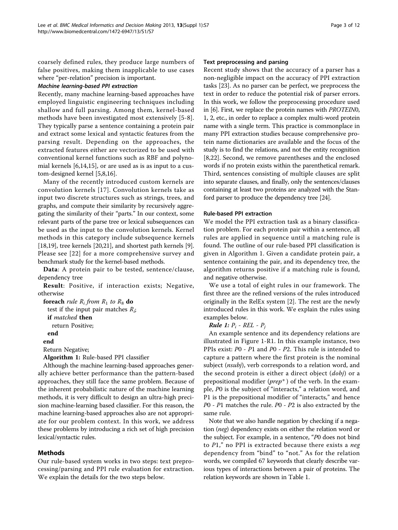coarsely defined rules, they produce large numbers of false positives, making them inapplicable to use cases where "per-relation" precision is important.

#### Machine learning-based PPI extraction

Recently, many machine learning-based approaches have employed linguistic engineering techniques including shallow and full parsing. Among them, kernel-based methods have been investigated most extensively [[5](#page-10-0)-[8](#page-10-0)]. They typically parse a sentence containing a protein pair and extract some lexical and syntactic features from the parsing result. Depending on the approaches, the extracted features either are vectorized to be used with conventional kernel functions such as RBF and polynomial kernels [[6,14,15\]](#page-10-0), or are used as is as input to a custom-designed kernel [[5,8,](#page-10-0)[16\]](#page-11-0).

Many of the recently introduced custom kernels are convolution kernels [[17\]](#page-11-0). Convolution kernels take as input two discrete structures such as strings, trees, and graphs, and compute their similarity by recursively aggregating the similarity of their "parts." In our context, some relevant parts of the parse tree or lexical subsequences can be used as the input to the convolution kernels. Kernel methods in this category include subsequence kernels [[18,19](#page-11-0)], tree kernels [[20,21](#page-11-0)], and shortest path kernels [\[9](#page-10-0)]. Please see [[22\]](#page-11-0) for a more comprehensive survey and benchmark study for the kernel-based methods.

Data: A protein pair to be tested, sentence/clause, dependency tree

Result: Positive, if interaction exists; Negative, otherwise

foreach rule  $R_i$  from  $R_1$  to  $R_8$  do test if the input pair matches  $R_i$ ; if matched then return Positive; end end Return Negative;

Algorithm 1: Rule-based PPI classifier

Although the machine learning-based approaches generally achieve better performance than the pattern-based approaches, they still face the same problem. Because of the inherent probabilistic nature of the machine learning methods, it is very difficult to design an ultra-high precision machine-learning based classifier. For this reason, the machine learning-based approaches also are not appropriate for our problem context. In this work, we address these problems by introducing a rich set of high precision lexical/syntactic rules.

## Methods

Our rule-based system works in two steps: text preprocessing/parsing and PPI rule evaluation for extraction. We explain the details for the two steps below.

#### Text preprocessing and parsing

Recent study shows that the accuracy of a parser has a non-negligible impact on the accuracy of PPI extraction tasks [[23](#page-11-0)]. As no parser can be perfect, we preprocess the text in order to reduce the potential risk of parser errors. In this work, we follow the preprocessing procedure used in [\[6\]](#page-10-0). First, we replace the protein names with PROTEIN0, 1, 2, etc., in order to replace a complex multi-word protein name with a single term. This practice is commonplace in many PPI extraction studies because comprehensive protein name dictionaries are available and the focus of the study is to find the relations, and not the entity recognition [[8](#page-10-0)[,22](#page-11-0)]. Second, we remove parentheses and the enclosed words if no protein exists within the parenthetical remark. Third, sentences consisting of multiple clauses are split into separate clauses, and finally, only the sentences/clauses containing at least two proteins are analyzed with the Stanford parser to produce the dependency tree [\[24\]](#page-11-0).

#### Rule-based PPI extraction

We model the PPI extraction task as a binary classification problem. For each protein pair within a sentence, all rules are applied in sequence until a matching rule is found. The outline of our rule-based PPI classification is given in Algorithm 1. Given a candidate protein pair, a sentence containing the pair, and its dependency tree, the algorithm returns positive if a matching rule is found, and negative otherwise.

We use a total of eight rules in our framework. The first three are the refined versions of the rules introduced originally in the RelEx system [[2\]](#page-10-0). The rest are the newly introduced rules in this work. We explain the rules using examples below.

#### Rule 1:  $P_i$  - REL -  $P_i$

An example sentence and its dependency relations are illustrated in Figure [1-R1](#page-3-0). In this example instance, two PPIs exist: P0 - P1 and P0 - P2. This rule is intended to capture a pattern where the first protein is the nominal subject (*nsubj*), verb corresponds to a relation word, and the second protein is either a direct object  $(dobj)$  or a prepositional modifier ( $prep^*$ ) of the verb. In the example, P0 is the subject of "interacts," a relation word, and P1 is the prepositional modifier of "interacts," and hence P0 - P1 matches the rule. P0 - P2 is also extracted by the same rule.

Note that we also handle negation by checking if a negation (neg) dependency exists on either the relation word or the subject. For example, in a sentence, "P0 does not bind to  $P1$ ," no PPI is extracted because there exists a neg dependency from "bind" to "not." As for the relation words, we compiled 67 keywords that clearly describe various types of interactions between a pair of proteins. The relation keywords are shown in Table [1.](#page-3-0)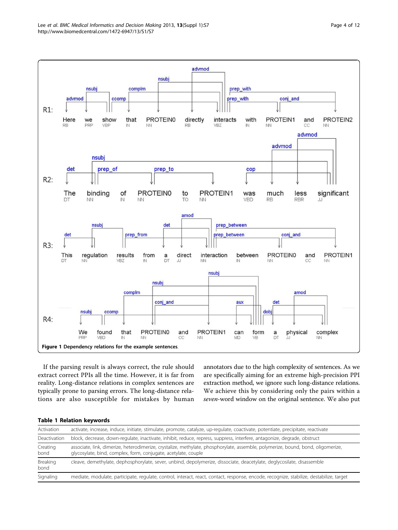<span id="page-3-0"></span>

If the parsing result is always correct, the rule should extract correct PPIs all the time. However, it is far from reality. Long-distance relations in complex sentences are typically prone to parsing errors. The long-distance relations are also susceptible for mistakes by human annotators due to the high complexity of sentences. As we are specifically aiming for an extreme high-precision PPI extraction method, we ignore such long-distance relations. We achieve this by considering only the pairs within a seven-word window on the original sentence. We also put

## Table 1 Relation keywords

| Activation       | activate, increase, induce, initiate, stimulate, promote, catalyze, up-regulate, coactivate, potentiate, precipitate, reactivate                                                                   |
|------------------|----------------------------------------------------------------------------------------------------------------------------------------------------------------------------------------------------|
| Deactivation     | block, decrease, down-regulate, inactivate, inhibit, reduce, repress, suppress, interfere, antagonize, degrade, obstruct                                                                           |
| Creating<br>bond | associate, link, dimerize, heterodimerize, crystalize, methylate, phosphorylate, assemble, polymerize, bound, bond, oligomerize,<br>glycosylate, bind, complex, form, conjugate, acetylate, couple |
| Breaking<br>bond | cleave, demethylate, dephosphorylate, sever, unbind, depolymerize, dissociate, deacetylate, deglycosilate, disassemble                                                                             |
| Signaling        | mediate, modulate, participate, regulate, control, interact, react, contact, response, encode, recognize, stabilize, destabilize, target                                                           |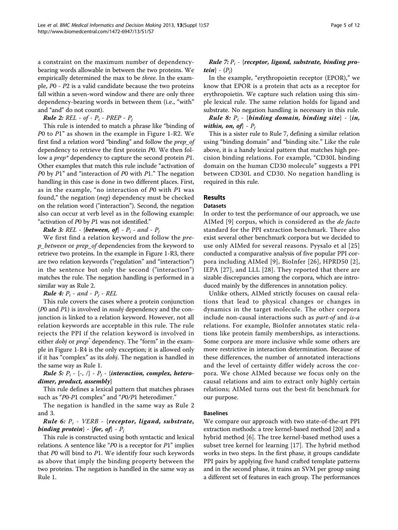a constraint on the maximum number of dependencybearing words allowable in between the two proteins. We empirically determined the max to be three. In the example, P0 - P2 is a valid candidate because the two proteins fall within a seven-word window and there are only three dependency-bearing words in between them (i.e., "with" and "and" do not count).

#### **Rule 2:** REL - of -  $P_i$  - PREP -  $P_i$

This rule is intended to match a phrase like "binding of P0 to P1" as shown in the example in Figure [1-R2.](#page-3-0) We first find a relation word "binding" and follow the prep\_of dependency to retrieve the first protein P0. We then follow a prep\* dependency to capture the second protein P1. Other examples that match this rule include "activation of P0 by P1" and "interaction of P0 with P1." The negation handling in this case is done in two different places. First, as in the example, "no interaction of P0 with P1 was found," the negation (neg) dependency must be checked on the relation word ("interaction"). Second, the negation also can occur at verb level as in the following example: "activation of P0 by P1 was not identified."

**Rule 3:** REL - {between, of} -  $P_i$  - and -  $P_i$ 

We first find a relation keyword and follow the prep\_between or prep\_of dependencies from the keyword to retrieve two proteins. In the example in Figure [1-R](#page-3-0)3, there are two relation keywords ("regulation" and "interaction") in the sentence but only the second ("interaction") matches the rule. The negation handling is performed in a similar way as Rule 2.

**Rule 4:**  $P_i$  - and -  $P_i$  - REL

This rule covers the cases where a protein conjunction ( $P0$  and  $P1$ ) is involved in *nsubj* dependency and the conjunction is linked to a relation keyword. However, not all relation keywords are acceptable in this rule. The rule rejects the PPI if the relation keyword is involved in either *dobj* or *prep*<sup>\*</sup> dependency. The "form" in the example in Figure [1-R4](#page-3-0) is the only exception; it is allowed only if it has "complex" as its *dobj*. The negation is handled in the same way as Rule 1.

# Rule 5:  $P_i$  -  $\{\cdot, \cdot\}$  -  $P_i$  - {interaction, complex, heterodimer, product, assembly $\}$

This rule defines a lexical pattern that matches phrases such as "P0-P1 complex" and "P0/P1 heterodimer."

The negation is handled in the same way as Rule 2 and 3.

# Rule 6:  $P_i$  - VERB - {receptor, ligand, substrate, binding protein} - {for, of} -  $P_j$

This rule is constructed using both syntactic and lexical relations. A sentence like "P0 is a receptor for P1" implies that P0 will bind to P1. We identify four such keywords as above that imply the binding property between the two proteins. The negation is handled in the same way as Rule 1.

## Rule 7:  $P_i$  - {receptor, ligand, substrate, binding protein $\{P_i\}$  -  $(P_i)$

In the example, "erythropoietin receptor (EPOR)," we know that EPOR is a protein that acts as a receptor for erythropoietin. We capture such relation using this simple lexical rule. The same relation holds for ligand and substrate. No negation handling is necessary in this rule.

Rule 8:  $P_i$  - {binding domain, binding site} - {in, within, on, of $\}$  -  $P_i$ 

This is a sister rule to Rule 7, defining a similar relation using "binding domain" and "binding site." Like the rule above, it is a handy lexical pattern that matches high precision binding relations. For example, "CD30L binding domain on the human CD30 molecule" suggests a PPI between CD30L and CD30. No negation handling is required in this rule.

## Results

#### **Datasets**

In order to test the performance of our approach, we use AIMed [\[9\]](#page-10-0) corpus, which is considered as the de facto standard for the PPI extraction benchmark. There also exist several other benchmark corpora but we decided to use only AIMed for several reasons. Pyysalo et al [[25](#page-11-0)] conducted a comparative analysis of five popular PPI corpora including AIMed [[9](#page-10-0)], BioInfer [[26\]](#page-11-0), HPRD50 [[2\]](#page-10-0), IEPA [[27\]](#page-11-0), and LLL [[28](#page-11-0)]. They reported that there are sizable discrepancies among the corpora, which are introduced mainly by the differences in annotation policy.

Unlike others, AIMed strictly focuses on causal relations that lead to physical changes or changes in dynamics in the target molecule. The other corpora include non-causal interactions such as part-of and is-a relations. For example, BioInfer annotates static relations like protein family memberships, as interactions. Some corpora are more inclusive while some others are more restrictive in interaction determination. Because of these differences, the number of annotated interactions and the level of certainty differ widely across the corpora. We chose AIMed because we focus only on the causal relations and aim to extract only highly certain relations; AIMed turns out the best-fit benchmark for our purpose.

#### Baselines

We compare our approach with two state-of-the-art PPI extraction methods: a tree kernel-based method [\[20\]](#page-11-0) and a hybrid method [[6](#page-10-0)]. The tree kernel-based method uses a subset tree kernel for learning [[17](#page-11-0)]. The hybrid method works in two steps. In the first phase, it groups candidate PPI pairs by applying five hand crafted template patterns and in the second phase, it trains an SVM per group using a different set of features in each group. The performances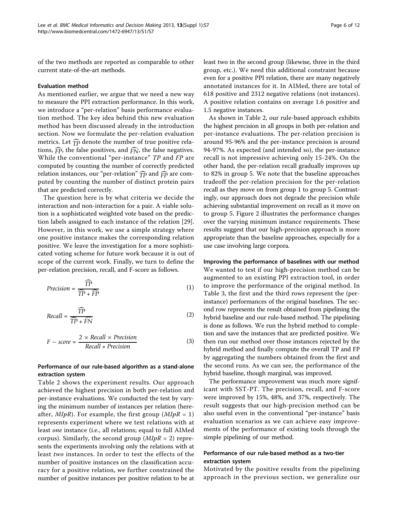of the two methods are reported as comparable to other current state-of-the-art methods.

#### Evaluation method

As mentioned earlier, we argue that we need a new way to measure the PPI extraction performance. In this work, we introduce a "per-relation" basis performance evaluation method. The key idea behind this new evaluation method has been discussed already in the introduction section. Now we formulate the per-relation evaluation method has be<br>section. Now v<br>metrics. Let  $\widehat{TP}$ metrics. Let  $\widehat{T}$  denote the number of true positive relasection.<br>metrics.<br>tions, *FP* , the false positives, and  $\widehat{\mathit{FN}}$ , the false negatives. While the conventional "per-instance" *TP* and *FP* are<br>computed by counting the number of correctly predicted<br>relation instances, our "per-relation"  $\widehat{TP}$  and  $\widehat{FP}$  are comcomputed by counting the number of correctly predicted relation instances, our "per-relation"  $\widehat{\tau}$  and  $\widehat{FP}$  are computed by counting the number of distinct protein pairs that are predicted correctly.

The question here is by what criteria we decide the interaction and non-interaction for a pair. A viable solution is a sophisticated weighted vote based on the prediction labels assigned to each instance of the relation [\[29](#page-11-0)]. However, in this work, we use a simple strategy where one positive instance makes the corresponding relation positive. We leave the investigation for a more sophisticated voting scheme for future work because it is out of scope of the current work. Finally, we turn to define the<br> *per-relation* precision, recall, and F-score as follows.<br> *Precision* =  $\frac{\widehat{TP}}{\widehat{TP}}$  (1)

per-relation precision, recall, and F-score as follows.  
\n
$$
Precision = \frac{\widehat{TP}}{\widehat{TP} + \widehat{FP}}
$$
\n(1)

$$
Precision = \frac{}{\widehat{TP} + \widehat{FP}}
$$
\n
$$
Recall = \frac{\widehat{TP}}{\widehat{TP} + \widehat{FN}}
$$
\n(2)

$$
F-score = \frac{2 \times Recall \times Precision}{Recall + Precision}
$$
 (3)

#### Performance of our rule-based algorithm as a stand-alone extraction system

Table [2](#page-6-0) shows the experiment results. Our approach achieved the highest precision in both per-relation and per-instance evaluations. We conducted the test by varying the minimum number of instances per relation (hereafter,  $MlpR$ ). For example, the first group  $(MlpR = 1)$ represents experiment where we test relations with at least *one* instance (i.e., all relations; equal to full AIMed corpus). Similarly, the second group ( $MlpR = 2$ ) represents the experiments involving only the relations with at least two instances. In order to test the effects of the number of positive instances on the classification accuracy for a positive relation, we further constrained the number of positive instances per positive relation to be at least two in the second group (likewise, three in the third group, etc.). We need this additional constraint because even for a positive PPI relation, there are many negatively annotated instances for it. In AIMed, there are total of 618 positive and 2312 negative relations (not instances). A positive relation contains on average 1.6 positive and 1.5 negative instances.

As shown in Table [2,](#page-6-0) our rule-based approach exhibits the highest precision in all groups in both per-relation and per-instance evaluations. The per-relation precision is around 95-96% and the per-instance precision is around 94-97%. As expected (and intended so), the per-instance recall is not impressive achieving only 15-24%. On the other hand, the per-relation recall gradually improves up to 82% in group 5. We note that the baseline approaches tradeoff the per-relation precision for the per-relation recall as they move on from group 1 to group 5. Contrastingly, our approach does not degrade the precision while achieving substantial improvement on recall as it move on to group 5. Figure [2](#page-6-0) illustrates the performance changes over the varying minimum instance requirements. These results suggest that our high-precision approach is more appropriate than the baseline approaches, especially for a use case involving large corpora.

Improving the performance of baselines with our method We wanted to test if our high-precision method can be augmented to an existing PPI extraction tool, in order to improve the performance of the original method. In Table [3](#page-7-0), the first and the third rows represent the (perinstance) performances of the original baselines. The second row represents the result obtained from pipelining the hybrid baseline and our rule-based method. The pipelining is done as follows. We run the hybrid method to completion and save the instances that are predicted positive. We then run our method over those instances rejected by the hybrid method and finally compute the overall TP and FP by aggregating the numbers obtained from the first and the second runs. As we can see, the performance of the hybrid baseline, though marginal, was improved.

The performance improvement was much more significant with SST-PT. The precision, recall, and F-score were improved by 15%, 48%, and 37%, respectively. The result suggests that our high-precision method can be also useful even in the conventional "per-instance" basis evaluation scenarios as we can achieve easy improvements of the performance of existing tools through the simple pipelining of our method.

## Performance of our rule-based method as a two-tier extraction system

Motivated by the positive results from the pipelining approach in the previous section, we generalize our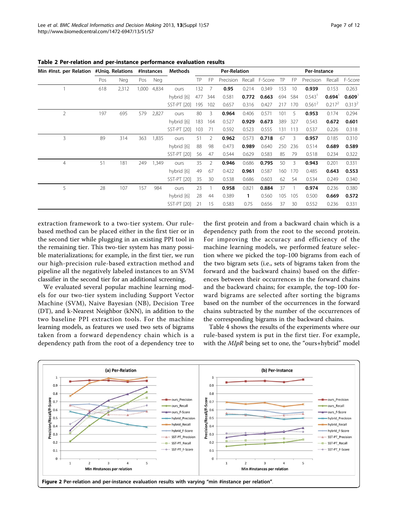| Min #Inst. per Relation |     | #Unig. Relations | #Instances |       | Methods            |     |              | <b>Per-Relation</b> |       | Per-Instance   |     |           |                      |                    |                      |
|-------------------------|-----|------------------|------------|-------|--------------------|-----|--------------|---------------------|-------|----------------|-----|-----------|----------------------|--------------------|----------------------|
|                         | Pos | <b>Neg</b>       | Pos        | Neg   |                    | TP  | FP           | Precision           |       | Recall F-Score | TP  | <b>FP</b> | Precision            | Recall             | F-Score              |
|                         | 618 | 2,312            | 1,000      | 4,834 | ours               | 132 | 7            | 0.95                | 0.214 | 0.349          | 153 | 10        | 0.939                | 0.153              | 0.263                |
|                         |     |                  |            |       | hybrid [6]         | 477 | 344          | 0.581               | 0.772 | 0.663          | 694 | 584       | $0.543$ <sup>1</sup> | 0.694              | $0.609$ <sup>1</sup> |
|                         |     |                  |            |       | SST-PT [20]        | 195 | 102          | 0.657               | 0.316 | 0.427          | 217 | 170       | 0.561 <sup>2</sup>   | 0.217 <sup>2</sup> | $0.313^{2}$          |
| 2                       | 197 | 695              | 579        | 2.827 | ours               | 80  | 3            | 0.964               | 0.406 | 0.571          | 101 | 5         | 0.953                | 0.174              | 0.294                |
|                         |     |                  |            |       | hybrid [6]         | 183 | 164          | 0.527               | 0.929 | 0.673          | 389 | 327       | 0.543                | 0.672              | 0.601                |
|                         |     |                  |            |       | SST-PT [20]        | 103 | 71           | 0.592               | 0.523 | 0.555          | 131 | 113       | 0.537                | 0.226              | 0.318                |
| 3                       | 89  | 314              | 363        | 1,835 | ours               | 51  | 2            | 0.962               | 0.573 | 0.718          | 67  | 3         | 0.957                | 0.185              | 0.310                |
|                         |     |                  |            |       | hybrid [6]         | 88  | 98           | 0.473               | 0.989 | 0.640          | 250 | 236       | 0.514                | 0.689              | 0.589                |
|                         |     |                  |            |       | <b>SST-PT [20]</b> | 56  | 47           | 0.544               | 0.629 | 0.583          | 85  | 79        | 0.518                | 0.234              | 0.322                |
| 4                       | 51  | 181              | 249        | 1,349 | ours               | 35  | 2            | 0.946               | 0.686 | 0.795          | 50  | 3         | 0.943                | 0.201              | 0.331                |
|                         |     |                  |            |       | hybrid [6]         | 49  | 67           | 0.422               | 0.961 | 0.587          | 160 | 170       | 0.485                | 0.643              | 0.553                |
|                         |     |                  |            |       | <b>SST-PT [20]</b> | 35  | 30           | 0.538               | 0.686 | 0.603          | 62  | 54        | 0.534                | 0.249              | 0.340                |
| 5                       | 28  | 107              | 157        | 984   | ours               | 23  | $\mathbf{1}$ | 0.958               | 0.821 | 0.884          | 37  |           | 0.974                | 0.236              | 0.380                |
|                         |     |                  |            |       | hybrid [6]         | 28  | 44           | 0.389               | 1     | 0.560          | 105 | 105       | 0.500                | 0.669              | 0.572                |
|                         |     |                  |            |       | <b>SST-PT [20]</b> | 21  | 15           | 0.583               | 0.75  | 0.656          | 37  | 30        | 0.552                | 0.236              | 0.331                |

<span id="page-6-0"></span>Table 2 Per-relation and per-instance performance evaluation results

extraction framework to a two-tier system. Our rulebased method can be placed either in the first tier or in the second tier while plugging in an existing PPI tool in the remaining tier. This two-tier system has many possible materializations; for example, in the first tier, we run our high-precision rule-based extraction method and pipeline all the negatively labeled instances to an SVM classifier in the second tier for an additional screening.

We evaluated several popular machine learning models for our two-tier system including Support Vector Machine (SVM), Naive Bayesian (NB), Decision Tree (DT), and k-Nearest Neighbor (kNN), in addition to the two baseline PPI extraction tools. For the machine learning models, as features we used two sets of bigrams taken from a forward dependency chain which is a dependency path from the root of a dependency tree to

the first protein and from a backward chain which is a dependency path from the root to the second protein. For improving the accuracy and efficiency of the machine learning models, we performed feature selection where we picked the top-100 bigrams from each of the two bigram sets (i.e., sets of bigrams taken from the forward and the backward chains) based on the differences between their occurrences in the forward chains and the backward chains; for example, the top-100 forward bigrams are selected after sorting the bigrams based on the number of the occurrences in the forward chains subtracted by the number of the occurrences of the corresponding bigrams in the backward chains.

Table [4](#page-7-0) shows the results of the experiments where our rule-based system is put in the first tier. For example, with the MIpR being set to one, the "ours+hybrid" model

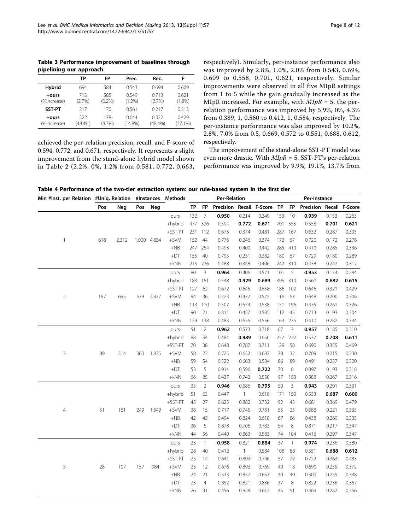<span id="page-7-0"></span>Table 3 Performance improvement of baselines through pipelining our approach

|                         | ΤР             | FP               | Prec.               | Rec.                | F                |
|-------------------------|----------------|------------------|---------------------|---------------------|------------------|
| <b>Hybrid</b>           | 694            | 584              | 0.543               | 0.694               | 0.609            |
| $+0$ urs<br>(%increase) | 713<br>(2.7%)  | 585<br>$(0.2\%)$ | 0549<br>$(1.2\%)$   | 0.713<br>(2.7%)     | 0.621<br>(1.8%)  |
| SST-PT                  | 217            | 170              | 0.561               | 0.217               | 0.313            |
| $+0$ urs<br>(%increase) | 322<br>(48.4%) | 178<br>(4.7%)    | 0.644<br>$(14.8\%)$ | 0.322<br>$(48.4\%)$ | 0.429<br>(37.1%) |

achieved the per-relation precision, recall, and F-score of 0.594, 0.772, and 0.671, respectively. It represents a slight improvement from the stand-alone hybrid model shown in Table [2](#page-6-0) (2.2%, 0%, 1.2% from 0.581, 0.772, 0.663,

respectively). Similarly, per-instance performance also was improved by 2.8%, 1.0%, 2.0% from 0.543, 0.694, 0.609 to 0.558, 0.701, 0.621, respectively. Similar improvements were observed in all five MIpR settings from 1 to 5 while the gain gradually increased as the MIpR increased. For example, with  $MlpR = 5$ , the perrelation performance was improved by 5.9%, 0%, 4.3% from 0.389, 1, 0.560 to 0.412, 1, 0.584, respectively. The per-instance performance was also improved by 10.2%, 2.8%, 7.0% from 0.5, 0.669, 0.572 to 0.551, 0.688, 0.612, respectively.

The improvement of the stand-alone SST-PT model was even more drastic. With  $MlpR = 5$ , SST-PT's per-relation performance was improved by 9.9%, 19.1%, 13.7% from

Table 4 Performance of the two-tier extraction system: our rule-based system in the first tier

| Min #Inst. per Relation #Uniq. Relation |     | #Instances |     | Methods     |            |           | <b>Per-Relation</b> |           |       |                |           |                |           |                                                                                                                                                                                                                                                                                                                        |         |
|-----------------------------------------|-----|------------|-----|-------------|------------|-----------|---------------------|-----------|-------|----------------|-----------|----------------|-----------|------------------------------------------------------------------------------------------------------------------------------------------------------------------------------------------------------------------------------------------------------------------------------------------------------------------------|---------|
|                                         | Pos | Neg        | Pos | Neg         |            | <b>TP</b> | <b>FP</b>           | Precision |       | Recall F-Score | <b>TP</b> | FP             | Precision |                                                                                                                                                                                                                                                                                                                        | F-Score |
|                                         |     |            |     |             | ours       | 132       | $\overline{7}$      | 0.950     | 0.214 | 0.349          | 153       | 10             | 0.939     | 0.153                                                                                                                                                                                                                                                                                                                  | 0.263   |
|                                         |     |            |     |             | +hybrid    | 477       | 326                 | 0.594     | 0.772 | 0.671          | 701       | 555            | 0.558     | 0.701                                                                                                                                                                                                                                                                                                                  | 0.621   |
|                                         |     |            |     |             | $+$ SST-PT | 231       | 112                 | 0.673     | 0.374 | 0.481          | 287       | 167            | 0.632     | 0.287                                                                                                                                                                                                                                                                                                                  | 0.395   |
| 1                                       | 618 | 2,312      |     | 1,000 4,834 | $+$ SVM    | 152       | 44                  | 0.776     | 0.246 | 0.374          | 172       | 67             | 0.720     | Per-Instance<br>Recall<br>0.172<br>0.285<br>0.180<br>0.242<br>0.174<br>0.682<br>0.321<br>0.200<br>0.261<br>0.193<br>0.282<br>0.185<br>0.708<br>0.355<br>0.215<br>0.237<br>0.193<br>0.267<br>0.201<br>0.687<br>0.369<br>0.221<br>0.269<br>0.217<br>0.297<br>0.236<br>0.688<br>0.363<br>0.255<br>0.255<br>0.236<br>0.287 | 0.278   |
|                                         |     |            |     |             | $+NB$      | 247       | 254                 | 0.493     | 0.400 | 0.442          | 285       | 410            | 0.410     |                                                                                                                                                                                                                                                                                                                        | 0.336   |
|                                         |     |            |     |             | $+DT$      | 155       | 40                  | 0.795     | 0.251 | 0.382          | 180       | 67             | 0.729     |                                                                                                                                                                                                                                                                                                                        | 0.289   |
|                                         |     |            |     |             | $+$ kNN    | 215       | 226                 | 0.488     | 0.348 | 0.406          | 242       | 310            | 0.438     |                                                                                                                                                                                                                                                                                                                        | 0.312   |
|                                         |     |            |     |             | ours       | 80        | 3                   | 0.964     | 0.406 | 0.571          | 101       | 5              | 0.953     |                                                                                                                                                                                                                                                                                                                        | 0.294   |
|                                         |     |            |     |             | +hybrid    | 183       | 151                 | 0.548     | 0.929 | 0.689          | 395       | 310            | 0.560     |                                                                                                                                                                                                                                                                                                                        | 0.615   |
|                                         |     |            |     |             | +SST-PT    | 127       | 62                  | 0.672     | 0.645 | 0.658          | 186       | 102            | 0.646     |                                                                                                                                                                                                                                                                                                                        | 0.429   |
| $\overline{2}$                          | 197 | 695        | 579 | 2,827       | +SVM       | 94        | 36                  | 0.723     | 0.477 | 0.575          | 116       | 63             | 0.648     |                                                                                                                                                                                                                                                                                                                        | 0.306   |
|                                         |     |            |     |             | $+NB$      | 113       | 110                 | 0.507     | 0.574 | 0.538          | 151       | 196            | 0.435     |                                                                                                                                                                                                                                                                                                                        | 0.326   |
|                                         |     |            |     |             | $+DT$      | 90        | 21                  | 0.811     | 0.457 | 0.585          | 112       | 45             | 0.713     |                                                                                                                                                                                                                                                                                                                        | 0.304   |
|                                         |     |            |     |             | $+$ kNN    | 129       | 138                 | 0.483     | 0.655 | 0.556          | 163       | 235            | 0.410     |                                                                                                                                                                                                                                                                                                                        | 0.334   |
|                                         |     |            |     |             | ours       | 51        | $\overline{2}$      | 0.962     | 0.573 | 0.718          | 67        | $\overline{3}$ | 0.957     |                                                                                                                                                                                                                                                                                                                        | 0.310   |
|                                         |     |            |     |             | +hybrid    | 88        | 94                  | 0.484     | 0.989 | 0.650          | 257       | 222            | 0.537     |                                                                                                                                                                                                                                                                                                                        | 0.611   |
|                                         |     |            |     |             | $+$ SST-PT | 70        | 38                  | 0.648     | 0.787 | 0.711          | 129       | 58             | 0.690     |                                                                                                                                                                                                                                                                                                                        | 0.469   |
| 3                                       | 89  | 314        | 363 | 1,835       | $+$ SVM    | 58        | 22                  | 0.725     | 0.652 | 0.687          | 78        | 32             | 0.709     |                                                                                                                                                                                                                                                                                                                        | 0.330   |
|                                         |     |            |     |             | $+NB$      | 59        | 54                  | 0.522     | 0.663 | 0.584          | 86        | 89             | 0.491     |                                                                                                                                                                                                                                                                                                                        | 0.320   |
|                                         |     |            |     |             | $+DT$      | 53        | 5                   | 0.914     | 0.596 | 0.722          | 70        | 8              | 0.897     |                                                                                                                                                                                                                                                                                                                        | 0.318   |
|                                         |     |            |     |             | $+kNN$     | 66        | 85                  | 0.437     | 0.742 | 0.550          | 97        | 153            | 0.388     |                                                                                                                                                                                                                                                                                                                        | 0.316   |
|                                         |     |            |     |             | ours       | 35        | $\overline{2}$      | 0.946     | 0.686 | 0.795          | 50        | $\mathbf{3}$   | 0.943     |                                                                                                                                                                                                                                                                                                                        | 0.331   |
|                                         |     |            |     |             | +hybrid    | 51        | 63                  | 0.447     | 1     | 0.618          | 171       | 150            | 0.533     |                                                                                                                                                                                                                                                                                                                        | 0.600   |
|                                         |     |            |     |             | $+$ SST-PT | 45        | 27                  | 0.625     | 0.882 | 0.732          | 92        | 43             | 0.681     |                                                                                                                                                                                                                                                                                                                        | 0.479   |
| $\overline{4}$                          | 51  | 181        | 249 | 1,349       | +SVM       | 38        | 15                  | 0.717     | 0.745 | 0.731          | 55        | 25             | 0.688     |                                                                                                                                                                                                                                                                                                                        | 0.335   |
|                                         |     |            |     |             | $+NB$      | 42        | 43                  | 0.494     | 0.824 | 0.618          | 67        | 86             | 0.438     |                                                                                                                                                                                                                                                                                                                        | 0.333   |
|                                         |     |            |     |             | $+DT$      | 36        | 5                   | 0.878     | 0.706 | 0.783          | 54        | 8              | 0.871     |                                                                                                                                                                                                                                                                                                                        | 0.347   |
|                                         |     |            |     |             | $+$ kNN    | 44        | 56                  | 0.440     | 0.863 | 0.583          | $74$      | 104            | 0.416     |                                                                                                                                                                                                                                                                                                                        | 0.347   |
|                                         |     |            |     |             | ours       | 23        | $\mathbf{1}$        | 0.958     | 0.821 | 0.884          | 37        | $\overline{1}$ | 0.974     |                                                                                                                                                                                                                                                                                                                        | 0.380   |
|                                         |     |            |     |             | +hybrid    | 28        | 40                  | 0.412     | 1     | 0.584          | 108       | 88             | 0.551     |                                                                                                                                                                                                                                                                                                                        | 0.612   |
|                                         |     |            |     |             | +SST-PT    | 25        | 14                  | 0.641     | 0.893 | 0.746          | 57        | 22             | 0.722     |                                                                                                                                                                                                                                                                                                                        | 0.483   |
| 5                                       | 28  | 107        | 157 | 984         | +SVM       | 25        | 12                  | 0.676     | 0.893 | 0.769          | 40        | 18             | 0.690     |                                                                                                                                                                                                                                                                                                                        | 0.372   |
|                                         |     |            |     |             | $+NB$      | 24        | 21                  | 0.533     | 0.857 | 0.657          | 40        | 40             | 0.500     |                                                                                                                                                                                                                                                                                                                        | 0.338   |
|                                         |     |            |     |             | $+DT$      | 23        | $\overline{4}$      | 0.852     | 0.821 | 0.836          | 37        | 8              | 0.822     |                                                                                                                                                                                                                                                                                                                        | 0.367   |
|                                         |     |            |     |             | $+kNN$     | 26        | 31                  | 0.456     | 0.929 | 0.612          | 45        | 51             | 0.469     |                                                                                                                                                                                                                                                                                                                        | 0.356   |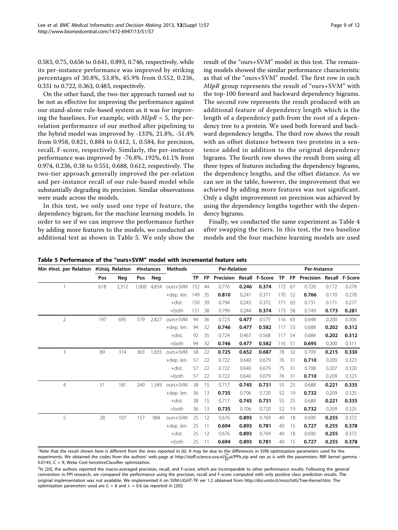0.583, 0.75, 0.656 to 0.641, 0.893, 0.746, respectively, while its per-instance performance was improved by striking percentages of 30.8%, 53.8%, 45.9% from 0.552, 0.236, 0.331 to 0.722, 0.363, 0.483, respectively.

On the other hand, the two-tier approach turned out to be not as effective for improving the performance against our stand-alone rule-based system as it was for improving the baselines. For example, with  $MlpR = 5$ , the perrelation performance of our method after pipelining to the hybrid model was improved by -133%, 21.8%, -51.4% from 0.958, 0.821, 0.884 to 0.412, 1, 0.584, for precision, recall, F-score, respectively. Similarly, the per-instance performance was improved by -76.8%, 192%, 61.1% from 0.974, 0.236, 0.38 to 0.551, 0.688, 0.612, respectively. The two-tier approach generally improved the per-relation and per-instance recall of our rule-based model while substantially degrading its precision. Similar observations were made across the models.

In this test, we only used one type of feature, the dependency bigram, for the machine learning models. In order to see if we can improve the performance further by adding more features to the models, we conducted an additional test as shown in Table 5. We only show the

result of the "ours+SVM" model in this test. The remaining models showed the similar performance characteristic as that of the "ours+SVM" model. The first row in each MIpR group represents the result of "ours+SVM" with the top-100 forward and backward dependency bigrams. The second row represents the result produced with an additional feature of dependency length which is the length of a dependency path from the root of a dependency tree to a protein. We used both forward and backward dependency lengths. The third row shows the result with an offset distance between two proteins in a sentence added in addition to the original dependency bigrams. The fourth row shows the result from using all three types of features including the dependency bigrams, the dependency lengths, and the offset distance. As we can see in the table, however, the improvement that we achieved by adding more features was not significant. Only a slight improvement on precision was achieved by using the dependency lengths together with the dependency bigrams.

Finally, we conducted the same experiment as Table [4](#page-7-0) after swapping the tiers. In this test, the two baseline models and the four machine learning models are used

| Min #Inst. per Relation<br>#Unig. Relation |     |       | #Instances | <b>Methods</b> |            |           | <b>Per-Relation</b> |           | Per-Instance |                |           |           |           |       |                |
|--------------------------------------------|-----|-------|------------|----------------|------------|-----------|---------------------|-----------|--------------|----------------|-----------|-----------|-----------|-------|----------------|
|                                            | Pos | Neg   | Pos        | Neg            |            | <b>TP</b> | <b>FP</b>           | Precision | Recall       | <b>F-Score</b> | <b>TP</b> | <b>FP</b> | Precision |       | Recall F-Score |
|                                            | 618 | 2,312 | 1,000      | 4,834          | ours+SVM   | 152       | 44                  | 0.776     | 0.246        | 0.374          | 172       | 67        | 0.720     | 0.172 | 0.278          |
|                                            |     |       |            |                | +dep. len. | 149       | -35                 | 0.810     | 0.241        | 0.371          | 170       | 52        | 0.766     | 0.170 | 0.278          |
|                                            |     |       |            |                | +dist.     | 150       | 39                  | 0.794     | 0.243        | 0.372          | 171       | 63        | 0.731     | 0.171 | 0.277          |
|                                            |     |       |            |                | $+$ both   | 151       | 38                  | 0.799     | 0.244        | 0.374          | 173       | -58       | 0.749     | 0.173 | 0.281          |
| $\overline{2}$                             | 197 | 695   | 579        | 2,827          | ours+SVM   | 94        | 36                  | 0.723     | 0.477        | 0.575          | 116       | 63        | 0.648     | 0.200 | 0.306          |
|                                            |     |       |            |                | +dep. len. | 94        | 32                  | 0.746     | 0.477        | 0.582          | 117       | -53       | 0.688     | 0.202 | 0.312          |
|                                            |     |       |            |                | +dist.     | 92        | 35                  | 0.724     | 0.467        | 0.568          | 117       | -54       | 0.684     | 0.202 | 0.312          |
|                                            |     |       |            |                | +both      | 94        | 32                  | 0.746     | 0.477        | 0.582          | 116       | -51       | 0.695     | 0.200 | 0.311          |
| 3                                          | 89  | 314   | 363        | 1,835          | ours+SVM   | 58        | 22                  | 0.725     | 0.652        | 0.687          | 78        | 32        | 0.709     | 0.215 | 0.330          |
|                                            |     |       |            |                | +dep. len. | 57        | 22                  | 0.722     | 0.640        | 0.679          | 76        | 31        | 0.710     | 0.209 | 0.323          |
|                                            |     |       |            |                | +dist.     | 57        | 22                  | 0.722     | 0.640        | 0.679          | 75        | 31        | 0.708     | 0.207 | 0.320          |
|                                            |     |       |            |                | +both      | 57        | 22                  | 0.722     | 0.640        | 0.679          | 76        | 31        | 0.710     | 0.209 | 0.323          |
| $\overline{4}$                             | 51  | 181   | 249        | 1,349          | ours+SVM   | 38        | 15                  | 0.717     | 0.745        | 0.731          | 55        | 25        | 0.688     | 0.221 | 0.335          |
|                                            |     |       |            |                | +dep. len. | 36        | 13                  | 0.735     | 0.706        | 0.720          | 52        | 19        | 0.732     | 0.209 | 0.325          |
|                                            |     |       |            |                | +dist.     | 38        | 15                  | 0.717     | 0.745        | 0.731          | 55        | 25        | 0.688     | 0.221 | 0.335          |
|                                            |     |       |            |                | $+$ both   | 36        | 13                  | 0.735     | 0.706        | 0.720          | 52        | 19        | 0.732     | 0.209 | 0.325          |
| 5                                          | 28  | 107   | 157        | 984            | ours+SVM   | 25        | 12                  | 0.676     | 0.893        | 0.769          | 40        | 18        | 0.690     | 0.255 | 0.372          |
|                                            |     |       |            |                | +dep. len. | 25        | -11                 | 0.694     | 0.893        | 0.781          | 40        | 15        | 0.727     | 0.255 | 0.378          |
|                                            |     |       |            |                | +dist.     | 25        | 12                  | 0.676     | 0.893        | 0.769          | 40        | 18        | 0.690     | 0.255 | 0.372          |
|                                            |     |       |            |                | +both      | 25        | 11                  | 0.694     | 0.893        | 0.781          | 40        | 15        | 0.727     | 0.255 | 0.378          |

Table 5 Performance of the "ours+SVM" model with incremental feature sets

<sup>1</sup>Note that the result shown here is different from the ones reported in [[6](#page-10-0)]. It may be due to the differences in SVM optimization parameters used for the experiments. We obtained the codes from the authors' web page at http://staff.science.uva.nl/ $\widetilde{b}$ ui/PPIs.zip and ran as is with the parameters: RBF kernel gamma -0.0145;  $C = 9$ ; Weka Cost-SensitiveClassifier optimization

<sup>2</sup>In [\[20](#page-11-0)], the authors reported the macro-averaged precision, recall, and F-score, which are incomparable to other performance results. Following the general convention in PPI research, we compared the performance using the precision, recall and F-score computed with only positive class prediction results. The original implementation was not available. We implemented it on SVM-LIGHT-TK ver 1.2 obtained from [http://disi.unitn.it/moschitti/Tree-Kernel.htm.](http://disi.unitn.it/moschitti/Tree-Kernel.htm) The optimization parameters used are C = 8 and  $\lambda$  = 0.6 (as reported in [[20\]](#page-11-0))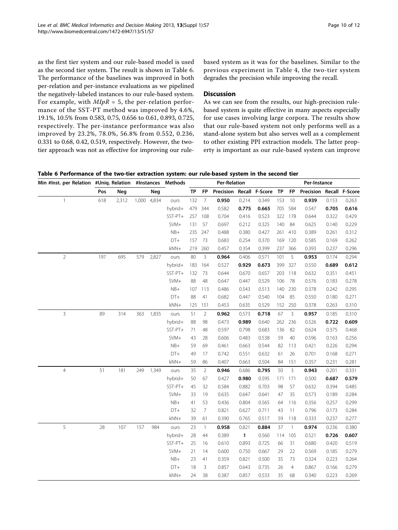as the first tier system and our rule-based model is used as the second tier system. The result is shown in Table 6. The performance of the baselines was improved in both per-relation and per-instance evaluations as we pipelined the negatively-labeled instances to our rule-based system. For example, with  $MlpR = 5$ , the per-relation performance of the SST-PT method was improved by 4.6%, 19.1%, 10.5% from 0.583, 0.75, 0.656 to 0.61, 0.893, 0.725, respectively. The per-instance performance was also improved by 23.2%, 78.0%, 56.8% from 0.552, 0.236, 0.331 to 0.68, 0.42, 0.519, respectively. However, the twotier approach was not as effective for improving our rulebased system as it was for the baselines. Similar to the previous experiment in Table [4](#page-7-0), the two-tier system degrades the precision while improving the recall.

# **Discussion**

As we can see from the results, our high-precision rulebased system is quite effective in many aspects especially for use cases involving large corpora. The results show that our rule-based system not only performs well as a stand-alone system but also serves well as a complement to other existing PPI extraction models. The latter property is important as our rule-based system can improve

| Min #Inst. per Relation #Uniq. Relation |     |       | #Instances | Methods     |         |           | <b>Per-Relation</b> |           |        |         |           |              | Per-Instance |        |         |
|-----------------------------------------|-----|-------|------------|-------------|---------|-----------|---------------------|-----------|--------|---------|-----------|--------------|--------------|--------|---------|
|                                         | Pos | Neg   |            | Neg         |         | <b>TP</b> | FP                  | Precision | Recall | F-Score | <b>TP</b> | FP           | Precision    | Recall | F-Score |
| $\mathbf{1}$                            | 618 | 2,312 |            | 1,000 4,834 | ours    | 132       | $7\overline{ }$     | 0.950     | 0.214  | 0.349   | 153       | 10           | 0.939        | 0.153  | 0.263   |
|                                         |     |       |            |             | hybrid+ | 479       | 344                 | 0.582     | 0.775  | 0.665   | 705       | 584          | 0.547        | 0.705  | 0.616   |
|                                         |     |       |            |             | SST-PT+ |           | 257 108             | 0.704     | 0.416  | 0.523   | 322       | 178          | 0.644        | 0.322  | 0.429   |
|                                         |     |       |            |             | SVM+    | 131       | 57                  | 0.697     | 0.212  | 0.325   | 140       | 84           | 0.625        | 0.140  | 0.229   |
|                                         |     |       |            |             | $NB+$   | 235       | 247                 | 0.488     | 0.380  | 0.427   | 261       | 410          | 0.389        | 0.261  | 0.312   |
|                                         |     |       |            |             | DT+     | 157       | 73                  | 0.683     | 0.254  | 0.370   | 169       | 120          | 0.585        | 0.169  | 0.262   |
|                                         |     |       |            |             | $kNN+$  | 219       | 260                 | 0.457     | 0.354  | 0.399   | 237       | 366          | 0.393        | 0.237  | 0.296   |
| $\overline{2}$                          | 197 | 695   | 579        | 2,827       | ours    | 80        | 3                   | 0.964     | 0.406  | 0.571   | 101       | 5            | 0.953        | 0.174  | 0.294   |
|                                         |     |       |            |             | hybrid+ | 183       | 164                 | 0.527     | 0.929  | 0.673   | 399       | 327          | 0.550        | 0.689  | 0.612   |
|                                         |     |       |            |             | SST-PT+ | 132       | 73                  | 0.644     | 0.670  | 0.657   | 203       | 118          | 0.632        | 0.351  | 0.451   |
|                                         |     |       |            |             | SVM+    | 88        | 48                  | 0.647     | 0.447  | 0.529   | 106       | 78           | 0.576        | 0.183  | 0.278   |
|                                         |     |       |            |             | $NB+$   | 107       | 113                 | 0.486     | 0.543  | 0.513   | 140       | 230          | 0.378        | 0.242  | 0.295   |
|                                         |     |       |            |             | DT+     | 88        | 41                  | 0.682     | 0.447  | 0.540   | 104       | 85           | 0.550        | 0.180  | 0.271   |
|                                         |     |       |            |             | $kNN+$  | 125       | 151                 | 0.453     | 0.635  | 0.529   | 152       | 250          | 0.378        | 0.263  | 0.310   |
| 3                                       | 89  | 314   | 363        | 1,835       | ours    | 51        | $\overline{2}$      | 0.962     | 0.573  | 0.718   | 67        | 3            | 0.957        | 0.185  | 0.310   |
|                                         |     |       |            |             | hybrid+ | 88        | 98                  | 0.473     | 0.989  | 0.640   | 262       | 236          | 0.526        | 0.722  | 0.609   |
|                                         |     |       |            |             | SST-PT+ | 71        | 48                  | 0.597     | 0.798  | 0.683   | 136       | 82           | 0.624        | 0.375  | 0.468   |
|                                         |     |       |            |             | SVM+    | 43        | 28                  | 0.606     | 0.483  | 0.538   | 59        | 40           | 0.596        | 0.163  | 0.256   |
|                                         |     |       |            |             | $NB+$   | 59        | 69                  | 0.461     | 0.663  | 0.544   | 82        | 113          | 0.421        | 0.226  | 0.294   |
|                                         |     |       |            |             | $DT+$   | 49        | 17                  | 0.742     | 0.551  | 0.632   | 61        | 26           | 0.701        | 0.168  | 0.271   |
|                                         |     |       |            |             | $kNN+$  | 59        | 86                  | 0.407     | 0.663  | 0.504   | 84        | 151          | 0.357        | 0.231  | 0.281   |
| $\overline{4}$                          | 51  | 181   | 249        | 1,349       | ours    | 35        | $\overline{2}$      | 0.946     | 0.686  | 0.795   | 50        | 3            | 0.943        | 0.201  | 0.331   |
|                                         |     |       |            |             | hybrid+ | 50        | 67                  | 0.427     | 0.980  | 0.595   | 171       | 171          | 0.500        | 0.687  | 0.579   |
|                                         |     |       |            |             | SST-PT+ | 45        | 32                  | 0.584     | 0.882  | 0.703   | 98        | 57           | 0.632        | 0.394  | 0.485   |
|                                         |     |       |            |             | SVM+    | 33        | 19                  | 0.635     | 0.647  | 0.641   | 47        | 35           | 0.573        | 0.189  | 0.284   |
|                                         |     |       |            |             | $NB+$   | 41        | 53                  | 0.436     | 0.804  | 0.565   | 64        | 116          | 0.356        | 0.257  | 0.299   |
|                                         |     |       |            |             | DT+     | 32        | 7                   | 0.821     | 0.627  | 0.711   | 43        | 11           | 0.796        | 0.173  | 0.284   |
|                                         |     |       |            |             | $kNN+$  | 39        | 61                  | 0.390     | 0.765  | 0.517   | 59        | 118          | 0.333        | 0.237  | 0.277   |
| 5                                       | 28  | 107   | 157        | 984         | ours    | 23        | $\mathbf{1}$        | 0.958     | 0.821  | 0.884   | 37        | $\mathbf{1}$ | 0.974        | 0.236  | 0.380   |
|                                         |     |       |            |             | hybrid+ | 28        | 44                  | 0.389     | 1      | 0.560   | 114       | 105          | 0.521        | 0.726  | 0.607   |
|                                         |     |       |            |             | SST-PT+ | 25        | 16                  | 0.610     | 0.893  | 0.725   | 66        | 31           | 0.680        | 0.420  | 0.519   |
|                                         |     |       |            |             | SVM+    | 21        | 14                  | 0.600     | 0.750  | 0.667   | 29        | 22           | 0.569        | 0.185  | 0.279   |
|                                         |     |       |            |             | $NB+$   | 23        | 41                  | 0.359     | 0.821  | 0.500   | 35        | 73           | 0.324        | 0.223  | 0.264   |
|                                         |     |       |            |             | $DT+$   | 18        | 3                   | 0.857     | 0.643  | 0.735   | 26        | 4            | 0.867        | 0.166  | 0.279   |
|                                         |     |       |            |             | $kNN+$  | 24        | 38                  | 0.387     | 0.857  | 0.533   | 35        | 68           | 0.340        | 0.223  | 0.269   |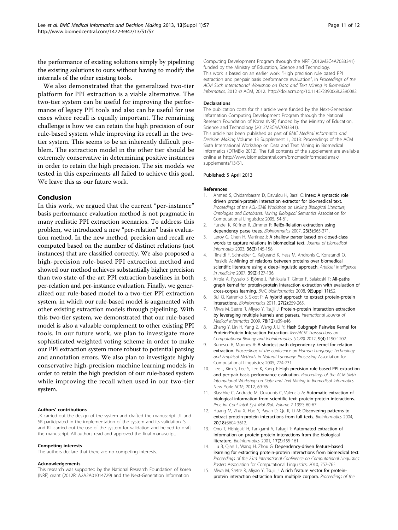<span id="page-10-0"></span>the performance of existing solutions simply by pipelining the existing solutions to ours without having to modify the internals of the other existing tools.

We also demonstrated that the generalized two-tier platform for PPI extraction is a viable alternative. The two-tier system can be useful for improving the performance of legacy PPI tools and also can be useful for use cases where recall is equally important. The remaining challenge is how we can retain the high precision of our rule-based system while improving its recall in the twotier system. This seems to be an inherently difficult problem. The extraction model in the other tier should be extremely conservative in determining positive instances in order to retain the high precision. The six models we tested in this experiments all failed to achieve this goal. We leave this as our future work.

#### Conclusion

In this work, we argued that the current "per-instance" basis performance evaluation method is not pragmatic in many realistic PPI extraction scenarios. To address this problem, we introduced a new "per-relation" basis evaluation method. In the new method, precision and recall are computed based on the number of distinct relations (not instances) that are classified correctly. We also proposed a high-precision rule-based PPI extraction method and showed our method achieves substantially higher precision than two state-of-the-art PPI extraction baselines in both per-relation and per-instance evaluation. Finally, we generalized our rule-based model to a two-tier PPI extraction system, in which our rule-based model is augmented with other existing extraction models through pipelining. With this two-tier system, we demonstrated that our rule-based model is also a valuable complement to other existing PPI tools. In our future work, we plan to investigate more sophisticated weighted voting scheme in order to make our PPI extraction system more robust to potential parsing and annotation errors. We also plan to investigate highly conservative high-precision machine learning models in order to retain the high precision of our rule-based system while improving the recall when used in our two-tier system.

#### Authors' contributions

JK carried out the design of the system and drafted the manuscript. JL and SK participated in the implementation of the system and its validation. SL and KL carried out the use of the system for validation and helped to draft the manuscript. All authors read and approved the final manuscript.

#### Competing interests

The authors declare that there are no competing interests.

#### Acknowledgements

This research was supported by the National Research Foundation of Korea (NRF) grant (2012R1A2A2A01014729) and the Next-Generation Information

Computing Development Program through the NRF (2012M3C4A7033341) funded by the Ministry of Education, Science and Technology. This work is based on an earlier work: "High precision rule based PPI extraction and per-pair basis performance evaluation", in Proceedings of the ACM Sixth International Workshop on Data and Text Mining in Biomedical Informatics, 2012 © ACM, 2012.<http://doi.acm.org/10.1145/2390068.2390082>

#### Declarations

The publication costs for this article were funded by the Next-Generation Information Computing Development Program through the National Research Foundation of Korea (NRF) funded by the Ministry of Education, Science and Technology (2012M3C4A7033341). This article has been published as part of BMC Medical Informatics and

Decision Making Volume 13 Supplement 1, 2013: Proceedings of the ACM Sixth International Workshop on Data and Text Mining in Biomedical Informatics (DTMBio 2012). The full contents of the supplement are available online at [http://www.biomedcentral.com/bmcmedinformdecismak/](http://www.biomedcentral.com/bmcmedinformdecismak/supplements/13/S1) [supplements/13/S1.](http://www.biomedcentral.com/bmcmedinformdecismak/supplements/13/S1)

#### Published: 5 April 2013

#### References

- 1. Ahmed S, Chidambaram D, Davulcu H, Baral C; Intex: A syntactic role driven protein-protein interaction extractor for bio-medical text. Proceedings of the ACL-ISMB Workshop on Linking Biological Literature, Ontologies and Databases: Mining Biological Semantics Association for Computational Linguistics; 2005, 54-61.
- 2. Fundel K, Küffner R, Zimmer R: [RelEx-Relation extraction using](http://www.ncbi.nlm.nih.gov/pubmed/17142812?dopt=Abstract) [dependency parse trees.](http://www.ncbi.nlm.nih.gov/pubmed/17142812?dopt=Abstract) Bioinformatics 2007, 23(3):365-371.
- 3. Leroy G, Chen H, Martinez J: [A shallow parser based on closed-class](http://www.ncbi.nlm.nih.gov/pubmed/14615225?dopt=Abstract) [words to capture relations in biomedical text.](http://www.ncbi.nlm.nih.gov/pubmed/14615225?dopt=Abstract) Journal of biomedical Informatics 2003, 36(3):145-158.
- 4. Rinaldi F, Schneider G, Kaljurand K, Hess M, Andronis C, Konstandi O, Persidis A: [Mining of relations between proteins over biomedical](http://www.ncbi.nlm.nih.gov/pubmed/17052900?dopt=Abstract) [scientific literature using a deep-linguistic approach.](http://www.ncbi.nlm.nih.gov/pubmed/17052900?dopt=Abstract) Artificial intelligence in medicine 2007, 39(2):127-136.
- Airola A, Pyysalo S, Björne J, Pahikkala T, Ginter F, Salakoski T: [All-paths](http://www.ncbi.nlm.nih.gov/pubmed/19091019?dopt=Abstract) [graph kernel for protein-protein interaction extraction with evaluation of](http://www.ncbi.nlm.nih.gov/pubmed/19091019?dopt=Abstract) [cross-corpus learning.](http://www.ncbi.nlm.nih.gov/pubmed/19091019?dopt=Abstract) BMC bioinformatics 2008, 9(Suppl 11):S2.
- 6. Bui Q, Katrenko S, Sloot P: [A hybrid approach to extract protein-protein](http://www.ncbi.nlm.nih.gov/pubmed/21062765?dopt=Abstract) [interactions.](http://www.ncbi.nlm.nih.gov/pubmed/21062765?dopt=Abstract) Bioinformatics 2011, 27(2):259-265.
- 7. Miwa M, Sætre R, Miyao Y, Tsujii J: [Protein-protein interaction extraction](http://www.ncbi.nlm.nih.gov/pubmed/19501018?dopt=Abstract) [by leveraging multiple kernels and parsers.](http://www.ncbi.nlm.nih.gov/pubmed/19501018?dopt=Abstract) International Journal of Medical Informatics 2009, 78(12):e39-e46.
- 8. Zhang Y, Lin H, Yang Z, Wang J, Li Y: Hash Subgraph Pairwise Kernel for Protein-Protein Interaction Extraction. IEEE/ACM Transactions on Computational Biology and Bioinformatics (TCBB) 2012, 9(4):1190-1202.
- 9. Bunescu R, Mooney R: A shortest path dependency kernel for relation extraction. Proceedings of the conference on Human Language Technology and Empirical Methods in Natural Language Processing Association for Computational Linguistics; 2005, 724-731.
- 10. Lee J, Kim S, Lee S, Lee K, Kang J: High precision rule based PPI extraction and per-pair basis performance evaluation. Proceedings of the ACM Sixth International Workshop on Data and Text Mining in Biomedical Informatics New York: ACM; 2012, 69-76.
- 11. Blaschke C, Andrade M, Ouzounis C, Valencia A: Automatic extraction of biological information from scientific text: protein-protein interactions. Proc Int Conf Intell Syst Mol Biol, Volume 7 1999, 60-67.
- 12. Huang M, Zhu X, Hao Y, Payan D, Qu K, Li M: [Discovering patterns to](http://www.ncbi.nlm.nih.gov/pubmed/15284092?dopt=Abstract) [extract protein-protein interactions from full texts.](http://www.ncbi.nlm.nih.gov/pubmed/15284092?dopt=Abstract) Bioinformatics 2004, 20(18):3604-3612.
- 13. Ono T, Hishigaki H, Tanigami A, Takagi T: [Automated extraction of](http://www.ncbi.nlm.nih.gov/pubmed/11238071?dopt=Abstract) [information on protein-protein interactions from the biological](http://www.ncbi.nlm.nih.gov/pubmed/11238071?dopt=Abstract) [literature.](http://www.ncbi.nlm.nih.gov/pubmed/11238071?dopt=Abstract) Bioinformatics 2001, 17(2):155-161.
- 14. Liu B, Qian L, Wang H, Zhou G: Dependency-driven feature-based learning for extracting protein-protein interactions from biomedical text. Proceedings of the 23rd International Conference on Computational Linguistics: Posters Association for Computational Linguistics; 2010, 757-765.
- 15. Miwa M, Sætre R, Miyao Y, Tsujii J: A rich feature vector for proteinprotein interaction extraction from multiple corpora. Proceedings of the